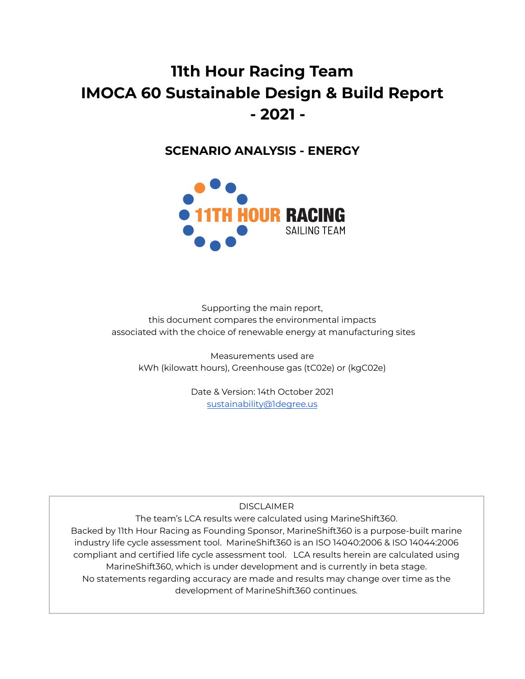# **11th Hour Racing Team IMOCA 60 Sustainable Design & Build Report - 2021 -**

# **SCENARIO ANALYSIS - ENERGY**



Supporting the main report, this document compares the environmental impacts associated with the choice of renewable energy at manufacturing sites

Measurements used are kWh (kilowatt hours), Greenhouse gas (tC02e) or (kgC02e)

> Date & Version: 14th October 2021 [sustainability@1degree.us](mailto:sustainability@1degree.us)

> > **DISCLAIMER**

The team's LCA results were calculated using MarineShift360. Backed by 11th Hour Racing as Founding Sponsor, MarineShift360 is a purpose-built marine industry life cycle assessment tool. MarineShift360 is an ISO 14040:2006 & ISO 14044:2006 compliant and certified life cycle assessment tool. LCA results herein are calculated using MarineShift360, which is under development and is currently in beta stage. No statements regarding accuracy are made and results may change over time as the development of MarineShift360 continues.